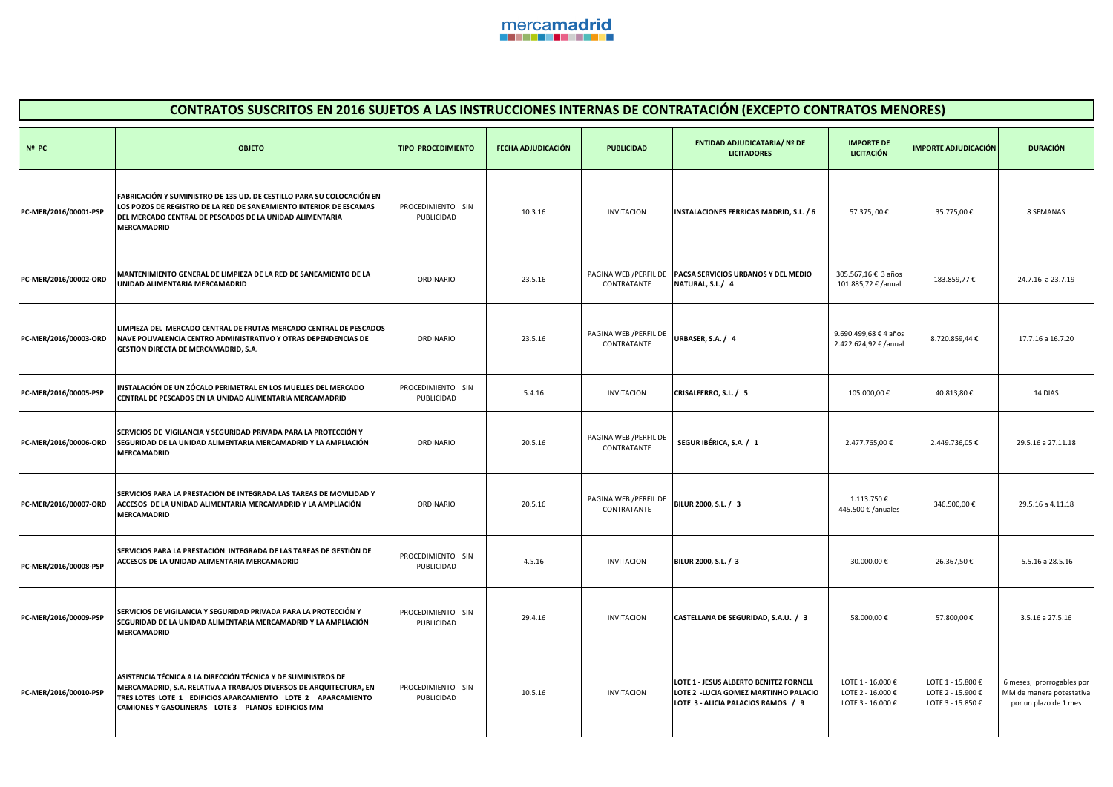

| CONTRATOS SUSCRITOS EN 2016 SUJETOS A LAS INSTRUCCIONES INTERNAS DE CONTRATACIÓN (EXCEPTO CONTRATOS MENORES) |                                                                                                                                                                                                                                                          |                                 |                    |                                       |                                                                                                                       |                                                             |                                                             |                                                                                |  |
|--------------------------------------------------------------------------------------------------------------|----------------------------------------------------------------------------------------------------------------------------------------------------------------------------------------------------------------------------------------------------------|---------------------------------|--------------------|---------------------------------------|-----------------------------------------------------------------------------------------------------------------------|-------------------------------------------------------------|-------------------------------------------------------------|--------------------------------------------------------------------------------|--|
| Nº PC                                                                                                        | <b>OBJETO</b>                                                                                                                                                                                                                                            | <b>TIPO PROCEDIMIENTO</b>       | FECHA ADJUDICACIÓN | <b>PUBLICIDAD</b>                     | <b>ENTIDAD ADJUDICATARIA/ Nº DE</b><br><b>LICITADORES</b>                                                             | <b>IMPORTE DE</b><br><b>LICITACIÓN</b>                      | <b>IMPORTE ADJUDICACIÓN</b>                                 | <b>DURACIÓN</b>                                                                |  |
| PC-MER/2016/00001-PSP                                                                                        | FABRICACIÓN Y SUMINISTRO DE 135 UD. DE CESTILLO PARA SU COLOCACIÓN EN<br>LOS POZOS DE REGISTRO DE LA RED DE SANEAMIENTO INTERIOR DE ESCAMAS<br>DEL MERCADO CENTRAL DE PESCADOS DE LA UNIDAD ALIMENTARIA<br><b>MERCAMADRID</b>                            | PROCEDIMIENTO SIN<br>PUBLICIDAD | 10.3.16            | <b>INVITACION</b>                     | INSTALACIONES FERRICAS MADRID, S.L. / 6                                                                               | 57.375,00€                                                  | 35.775,00€                                                  | 8 SEMANAS                                                                      |  |
| PC-MER/2016/00002-ORD                                                                                        | MANTENIMIENTO GENERAL DE LIMPIEZA DE LA RED DE SANEAMIENTO DE LA<br>UNIDAD ALIMENTARIA MERCAMADRID                                                                                                                                                       | ORDINARIO                       | 23.5.16            | PAGINA WEB / PERFIL DE<br>CONTRATANTE | PACSA SERVICIOS URBANOS Y DEL MEDIO<br>NATURAL, S.L./ 4                                                               | 305.567,16 € 3 años<br>101.885,72 € /anual                  | 183.859,77€                                                 | 24.7.16 a 23.7.19                                                              |  |
| PC-MER/2016/00003-ORD                                                                                        | LIMPIEZA DEL MERCADO CENTRAL DE FRUTAS MERCADO CENTRAL DE PESCADOS<br>NAVE POLIVALENCIA CENTRO ADMINISTRATIVO Y OTRAS DEPENDENCIAS DE<br>GESTION DIRECTA DE MERCAMADRID, S.A.                                                                            | ORDINARIO                       | 23.5.16            | PAGINA WEB / PERFIL DE<br>CONTRATANTE | URBASER, S.A. / 4                                                                                                     | 9.690.499,68 € 4 años<br>2.422.624,92 € /anual              | 8.720.859,44 €                                              | 17.7.16 a 16.7.20                                                              |  |
| PC-MER/2016/00005-PSP                                                                                        | INSTALACIÓN DE UN ZÓCALO PERIMETRAL EN LOS MUELLES DEL MERCADO<br>CENTRAL DE PESCADOS EN LA UNIDAD ALIMENTARIA MERCAMADRID                                                                                                                               | PROCEDIMIENTO SIN<br>PUBLICIDAD | 5.4.16             | <b>INVITACION</b>                     | CRISALFERRO, S.L. / 5                                                                                                 | 105.000,00€                                                 | 40.813,80€                                                  | 14 DIAS                                                                        |  |
| PC-MER/2016/00006-ORD                                                                                        | SERVICIOS DE VIGILANCIA Y SEGURIDAD PRIVADA PARA LA PROTECCIÓN Y<br>SEGURIDAD DE LA UNIDAD ALIMENTARIA MERCAMADRID Y LA AMPLIACIÓN<br><b>MERCAMADRID</b>                                                                                                 | ORDINARIO                       | 20.5.16            | PAGINA WEB / PERFIL DE<br>CONTRATANTE | SEGUR IBÉRICA, S.A. / 1                                                                                               | 2.477.765,00 €                                              | 2.449.736,05€                                               | 29.5.16 a 27.11.18                                                             |  |
| PC-MER/2016/00007-ORD                                                                                        | SERVICIOS PARA LA PRESTACIÓN DE INTEGRADA LAS TAREAS DE MOVILIDAD Y<br>ACCESOS DE LA UNIDAD ALIMENTARIA MERCAMADRID Y LA AMPLIACIÓN<br>MERCAMADRID                                                                                                       | ORDINARIO                       | 20.5.16            | PAGINA WEB / PERFIL DE<br>CONTRATANTE | BILUR 2000, S.L. / 3                                                                                                  | 1.113.750€<br>445.500 € /anuales                            | 346.500,00€                                                 | 29.5.16 a 4.11.18                                                              |  |
| PC-MER/2016/00008-PSP                                                                                        | SERVICIOS PARA LA PRESTACIÓN INTEGRADA DE LAS TAREAS DE GESTIÓN DE<br>ACCESOS DE LA UNIDAD ALIMENTARIA MERCAMADRID                                                                                                                                       | PROCEDIMIENTO SIN<br>PUBLICIDAD | 4.5.16             | <b>INVITACION</b>                     | BILUR 2000, S.L. / 3                                                                                                  | 30.000,00€                                                  | 26.367,50€                                                  | 5.5.16 a 28.5.16                                                               |  |
| PC-MER/2016/00009-PSP                                                                                        | SERVICIOS DE VIGILANCIA Y SEGURIDAD PRIVADA PARA LA PROTECCIÓN Y<br>SEGURIDAD DE LA UNIDAD ALIMENTARIA MERCAMADRID Y LA AMPLIACIÓN<br><b>MERCAMADRID</b>                                                                                                 | PROCEDIMIENTO SIN<br>PUBLICIDAD | 29.4.16            | <b>INVITACION</b>                     | CASTELLANA DE SEGURIDAD, S.A.U. / 3                                                                                   | 58.000,00€                                                  | 57.800,00€                                                  | 3.5.16 a 27.5.16                                                               |  |
| PC-MER/2016/00010-PSP                                                                                        | ASISTENCIA TÉCNICA A LA DIRECCIÓN TÉCNICA Y DE SUMINISTROS DE<br>MERCAMADRID, S.A. RELATIVA A TRABAJOS DIVERSOS DE ARQUITECTURA, EN<br>TRES LOTES LOTE 1 EDIFICIOS APARCAMIENTO LOTE 2 APARCAMIENTO<br>CAMIONES Y GASOLINERAS LOTE 3 PLANOS EDIFICIOS MM | PROCEDIMIENTO SIN<br>PUBLICIDAD | 10.5.16            | <b>INVITACION</b>                     | LOTE 1 - JESUS ALBERTO BENITEZ FORNELL<br>LOTE 2 - LUCIA GOMEZ MARTINHO PALACIO<br>LOTE 3 - ALICIA PALACIOS RAMOS / 9 | LOTE 1 - 16.000 €<br>LOTE 2 - 16.000 €<br>LOTE 3 - 16.000 € | LOTE 1 - 15.800 €<br>LOTE 2 - 15.900 €<br>LOTE 3 - 15.850 € | 6 meses, prorrogables por<br>MM de manera potestativa<br>por un plazo de 1 mes |  |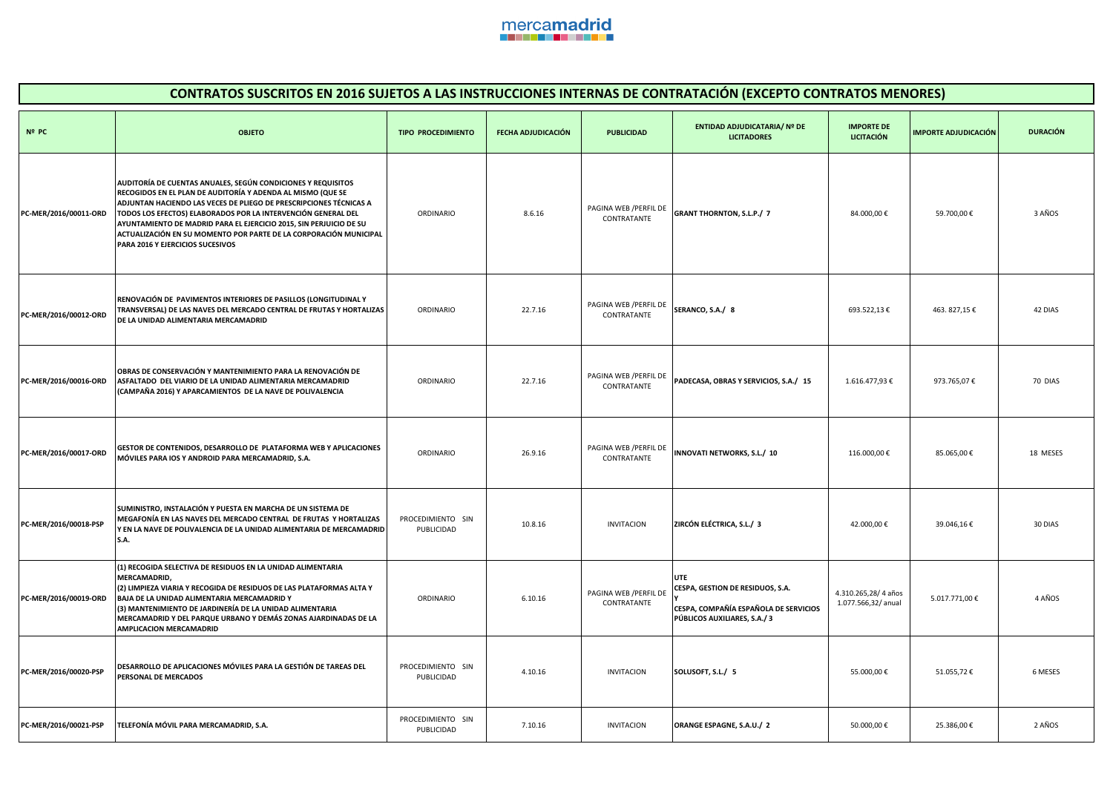

| <b>CONTRATOS SUSCRITOS EN 2016 SUJETOS A LAS INSTRUCCIONES INTERNAS DE CONTRATACIÓN (EXCEPTO CONTRATOS MENORES)</b> |                                                                                                                                                                                                                                                                                                                                                                                                                                                   |                                 |                    |                                       |                                                                                                          |                                            |                             |                 |  |
|---------------------------------------------------------------------------------------------------------------------|---------------------------------------------------------------------------------------------------------------------------------------------------------------------------------------------------------------------------------------------------------------------------------------------------------------------------------------------------------------------------------------------------------------------------------------------------|---------------------------------|--------------------|---------------------------------------|----------------------------------------------------------------------------------------------------------|--------------------------------------------|-----------------------------|-----------------|--|
| Nº PC                                                                                                               | <b>OBJETO</b>                                                                                                                                                                                                                                                                                                                                                                                                                                     | <b>TIPO PROCEDIMIENTO</b>       | FECHA ADJUDICACIÓN | <b>PUBLICIDAD</b>                     | <b>ENTIDAD ADJUDICATARIA/ Nº DE</b><br><b>LICITADORES</b>                                                | <b>IMPORTE DE</b><br><b>LICITACIÓN</b>     | <b>IMPORTE ADJUDICACIÓN</b> | <b>DURACIÓN</b> |  |
| PC-MER/2016/00011-ORD                                                                                               | AUDITORÍA DE CUENTAS ANUALES, SEGÚN CONDICIONES Y REQUISITOS<br>RECOGIDOS EN EL PLAN DE AUDITORÍA Y ADENDA AL MISMO (QUE SE<br>ADJUNTAN HACIENDO LAS VECES DE PLIEGO DE PRESCRIPCIONES TÉCNICAS A<br>TODOS LOS EFECTOS) ELABORADOS POR LA INTERVENCIÓN GENERAL DEL<br>AYUNTAMIENTO DE MADRID PARA EL EJERCICIO 2015, SIN PERJUICIO DE SU<br>ACTUALIZACIÓN EN SU MOMENTO POR PARTE DE LA CORPORACIÓN MUNICIPAL<br>PARA 2016 Y EJERCICIOS SUCESIVOS | ORDINARIO                       | 8.6.16             | PAGINA WEB / PERFIL DE<br>CONTRATANTE | <b>GRANT THORNTON, S.L.P./ 7</b>                                                                         | 84.000,00€                                 | 59.700,00€                  | 3 AÑOS          |  |
| PC-MER/2016/00012-ORD                                                                                               | RENOVACIÓN DE PAVIMENTOS INTERIORES DE PASILLOS (LONGITUDINAL Y<br>TRANSVERSAL) DE LAS NAVES DEL MERCADO CENTRAL DE FRUTAS Y HORTALIZAS<br>DE LA UNIDAD ALIMENTARIA MERCAMADRID                                                                                                                                                                                                                                                                   | ORDINARIO                       | 22.7.16            | PAGINA WEB /PERFIL DE<br>CONTRATANTE  | SERANCO, S.A./ 8                                                                                         | 693.522,13€                                | 463.827,15€                 | 42 DIAS         |  |
| PC-MER/2016/00016-ORD                                                                                               | OBRAS DE CONSERVACIÓN Y MANTENIMIENTO PARA LA RENOVACIÓN DE<br>ASFALTADO DEL VIARIO DE LA UNIDAD ALIMENTARIA MERCAMADRID<br>(CAMPAÑA 2016) Y APARCAMIENTOS DE LA NAVE DE POLIVALENCIA                                                                                                                                                                                                                                                             | ORDINARIO                       | 22.7.16            | PAGINA WEB / PERFIL DE<br>CONTRATANTE | PADECASA, OBRAS Y SERVICIOS, S.A./ 15                                                                    | 1.616.477,93 €                             | 973.765,07€                 | 70 DIAS         |  |
| PC-MER/2016/00017-ORD                                                                                               | GESTOR DE CONTENIDOS, DESARROLLO DE PLATAFORMA WEB Y APLICACIONES<br>MÓVILES PARA IOS Y ANDROID PARA MERCAMADRID, S.A.                                                                                                                                                                                                                                                                                                                            | ORDINARIO                       | 26.9.16            | PAGINA WEB / PERFIL DE<br>CONTRATANTE | INNOVATI NETWORKS, S.L./ 10                                                                              | 116.000,00€                                | 85.065,00€                  | 18 MESES        |  |
| PC-MER/2016/00018-PSP                                                                                               | SUMINISTRO, INSTALACIÓN Y PUESTA EN MARCHA DE UN SISTEMA DE<br>MEGAFONÍA EN LAS NAVES DEL MERCADO CENTRAL DE FRUTAS Y HORTALIZAS<br>Y EN LA NAVE DE POLIVALENCIA DE LA UNIDAD ALIMENTARIA DE MERCAMADRID<br><b>S.A.</b>                                                                                                                                                                                                                           | PROCEDIMIENTO SIN<br>PUBLICIDAD | 10.8.16            | <b>INVITACION</b>                     | ZIRCÓN ELÉCTRICA, S.L./ 3                                                                                | 42.000,00€                                 | 39.046,16€                  | 30 DIAS         |  |
| PC-MER/2016/00019-ORD                                                                                               | (1) RECOGIDA SELECTIVA DE RESIDUOS EN LA UNIDAD ALIMENTARIA<br>MERCAMADRID,<br>(2) LIMPIEZA VIARIA Y RECOGIDA DE RESIDUOS DE LAS PLATAFORMAS ALTA Y<br>BAJA DE LA UNIDAD ALIMENTARIA MERCAMADRID Y<br>(3) MANTENIMIENTO DE JARDINERÍA DE LA UNIDAD ALIMENTARIA<br>MERCAMADRID Y DEL PARQUE URBANO Y DEMÁS ZONAS AJARDINADAS DE LA<br>AMPLICACION MERCAMADRID                                                                                      | ORDINARIO                       | 6.10.16            | PAGINA WEB / PERFIL DE<br>CONTRATANTE | CESPA, GESTION DE RESIDUOS, S.A.<br>CESPA, COMPAÑÍA ESPAÑOLA DE SERVICIOS<br>PÚBLICOS AUXILIARES, S.A./3 | 4.310.265,28/4 años<br>1.077.566,32/ anual | 5.017.771,00€               | 4 AÑOS          |  |
| PC-MER/2016/00020-PSP                                                                                               | DESARROLLO DE APLICACIONES MÓVILES PARA LA GESTIÓN DE TAREAS DEL<br>PERSONAL DE MERCADOS                                                                                                                                                                                                                                                                                                                                                          | PROCEDIMIENTO SIN<br>PUBLICIDAD | 4.10.16            | <b>INVITACION</b>                     | SOLUSOFT, S.L./ 5                                                                                        | 55.000,00€                                 | 51.055,72€                  | 6 MESES         |  |
| PC-MER/2016/00021-PSP                                                                                               | TELEFONÍA MÓVIL PARA MERCAMADRID, S.A.                                                                                                                                                                                                                                                                                                                                                                                                            | PROCEDIMIENTO SIN<br>PUBLICIDAD | 7.10.16            | <b>INVITACION</b>                     | ORANGE ESPAGNE, S.A.U./ 2                                                                                | 50.000,00 €                                | 25.386,00€                  | 2 AÑOS          |  |